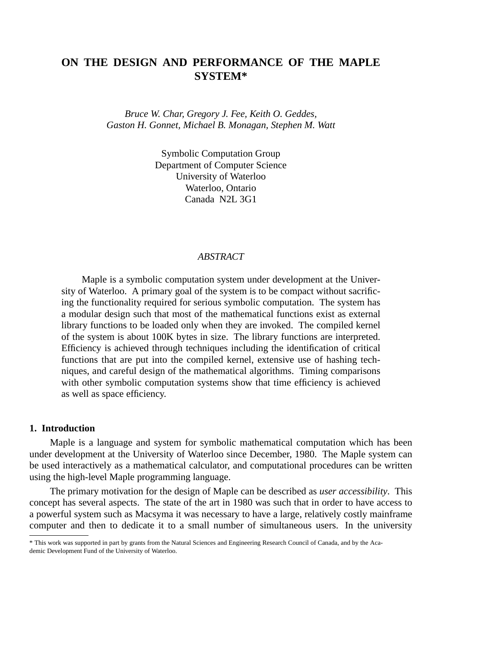# **ON THE DESIGN AND PERFORMANCE OF THE MAPLE SYSTEM\***

*Bruce W. Char, Gregory J. Fee, Keith O. Geddes, Gaston H. Gonnet, Michael B. Monagan, Stephen M. Watt*

> Symbolic Computation Group Department of Computer Science University of Waterloo Waterloo, Ontario Canada N2L 3G1

#### *ABSTRACT*

Maple is a symbolic computation system under development at the University of Waterloo. A primary goal of the system is to be compact without sacrificing the functionality required for serious symbolic computation. The system has a modular design such that most of the mathematical functions exist as external library functions to be loaded only when they are invoked. The compiled kernel of the system is about 100K bytes in size. The library functions are interpreted. Efficiency is achieved through techniques including the identification of critical functions that are put into the compiled kernel, extensive use of hashing techniques, and careful design of the mathematical algorithms. Timing comparisons with other symbolic computation systems show that time efficiency is achieved as well as space efficiency.

#### **1. Introduction**

Maple is a language and system for symbolic mathematical computation which has been under development at the University of Waterloo since December, 1980. The Maple system can be used interactively as a mathematical calculator, and computational procedures can be written using the high-level Maple programming language.

The primary motivation for the design of Maple can be described as *user accessibility*. This concept has several aspects. The state of the art in 1980 was such that in order to have access to a powerful system such as Macsyma it was necessary to have a large, relatively costly mainframe computer and then to dedicate it to a small number of simultaneous users. In the university

<sup>\*</sup> This work was supported in part by grants from the Natural Sciences and Engineering Research Council of Canada, and by the Academic Development Fund of the University of Waterloo.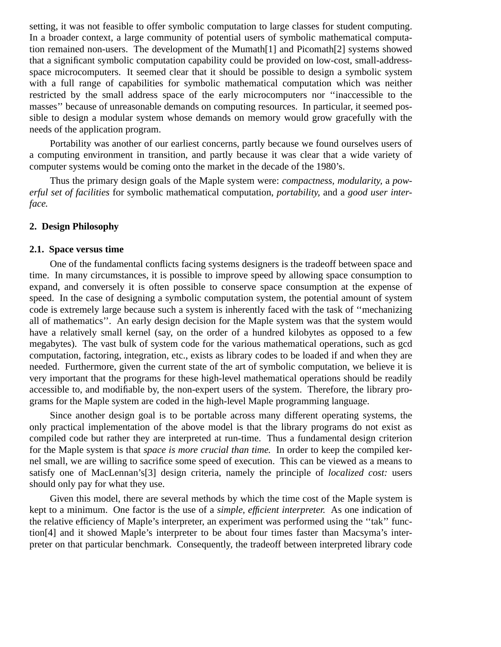setting, it was not feasible to offer symbolic computation to large classes for student computing. In a broader context, a large community of potential users of symbolic mathematical computation remained non-users. The development of the Mumath[1] and Picomath[2] systems showed that a significant symbolic computation capability could be provided on low-cost, small-addressspace microcomputers. It seemed clear that it should be possible to design a symbolic system with a full range of capabilities for symbolic mathematical computation which was neither restricted by the small address space of the early microcomputers nor ''inaccessible to the masses'' because of unreasonable demands on computing resources. In particular, it seemed possible to design a modular system whose demands on memory would grow gracefully with the needs of the application program.

Portability was another of our earliest concerns, partly because we found ourselves users of a computing environment in transition, and partly because it was clear that a wide variety of computer systems would be coming onto the market in the decade of the 1980's.

Thus the primary design goals of the Maple system were: *compactness, modularity,* a *powerful set of facilities* for symbolic mathematical computation, *portability,* and a *good user interface.*

## **2. Design Philosophy**

#### **2.1. Space versus time**

One of the fundamental conflicts facing systems designers is the tradeoff between space and time. In many circumstances, it is possible to improve speed by allowing space consumption to expand, and conversely it is often possible to conserve space consumption at the expense of speed. In the case of designing a symbolic computation system, the potential amount of system code is extremely large because such a system is inherently faced with the task of ''mechanizing all of mathematics''. An early design decision for the Maple system was that the system would have a relatively small kernel (say, on the order of a hundred kilobytes as opposed to a few megabytes). The vast bulk of system code for the various mathematical operations, such as gcd computation, factoring, integration, etc., exists as library codes to be loaded if and when they are needed. Furthermore, given the current state of the art of symbolic computation, we believe it is very important that the programs for these high-level mathematical operations should be readily accessible to, and modifiable by, the non-expert users of the system. Therefore, the library programs for the Maple system are coded in the high-level Maple programming language.

Since another design goal is to be portable across many different operating systems, the only practical implementation of the above model is that the library programs do not exist as compiled code but rather they are interpreted at run-time. Thus a fundamental design criterion for the Maple system is that *space is more crucial than time.* In order to keep the compiled kernel small, we are willing to sacrifice some speed of execution. This can be viewed as a means to satisfy one of MacLennan's[3] design criteria, namely the principle of *localized cost:* users should only pay for what they use.

Given this model, there are several methods by which the time cost of the Maple system is kept to a minimum. One factor is the use of a *simple, efficient interpreter.* As one indication of the relative efficiency of Maple's interpreter, an experiment was performed using the ''tak'' function[4] and it showed Maple's interpreter to be about four times faster than Macsyma's interpreter on that particular benchmark. Consequently, the tradeoff between interpreted library code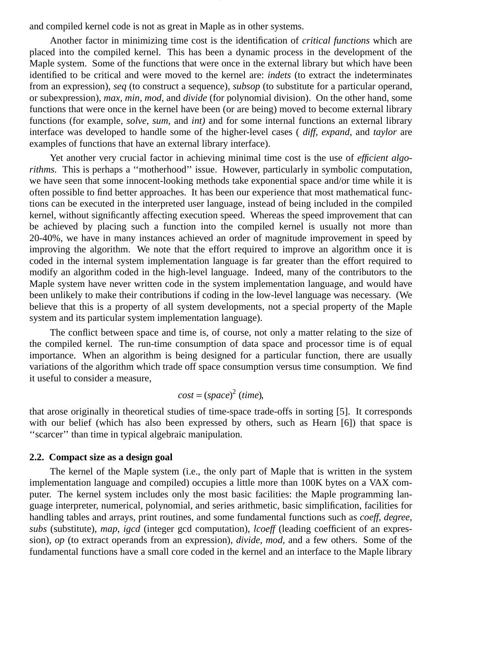and compiled kernel code is not as great in Maple as in other systems.

Another factor in minimizing time cost is the identification of *critical functions* which are placed into the compiled kernel. This has been a dynamic process in the development of the Maple system. Some of the functions that were once in the external library but which have been identified to be critical and were moved to the kernel are: *indets* (to extract the indeterminates from an expression), *seq* (to construct a sequence), *subsop* (to substitute for a particular operand, or subexpression), *max, min, mod,* and *divide* (for polynomial division). On the other hand, some functions that were once in the kernel have been (or are being) moved to become external library functions (for example, *solve, sum,* and *int)* and for some internal functions an external library interface was developed to handle some of the higher-level cases ( *diff, expand,* and *taylor* are examples of functions that have an external library interface).

-3-

Yet another very crucial factor in achieving minimal time cost is the use of *efficient algorithms.* This is perhaps a ''motherhood'' issue. However, particularly in symbolic computation, we have seen that some innocent-looking methods take exponential space and/or time while it is often possible to find better approaches. It has been our experience that most mathematical functions can be executed in the interpreted user language, instead of being included in the compiled kernel, without significantly affecting execution speed. Whereas the speed improvement that can be achieved by placing such a function into the compiled kernel is usually not more than 20-40%, we have in many instances achieved an order of magnitude improvement in speed by improving the algorithm. We note that the effort required to improve an algorithm once it is coded in the internal system implementation language is far greater than the effort required to modify an algorithm coded in the high-level language. Indeed, many of the contributors to the Maple system have never written code in the system implementation language, and would have been unlikely to make their contributions if coding in the low-level language was necessary. (We believe that this is a property of all system developments, not a special property of the Maple system and its particular system implementation language).

The conflict between space and time is, of course, not only a matter relating to the size of the compiled kernel. The run-time consumption of data space and processor time is of equal importance. When an algorithm is being designed for a particular function, there are usually variations of the algorithm which trade off space consumption versus time consumption. We find it useful to consider a measure,

$$
cost = (space)^2 (time),
$$

that arose originally in theoretical studies of time-space trade-offs in sorting [5]. It corresponds with our belief (which has also been expressed by others, such as Hearn [6]) that space is "scarcer" than time in typical algebraic manipulation.

#### **2.2. Compact size as a design goal**

The kernel of the Maple system (i.e., the only part of Maple that is written in the system implementation language and compiled) occupies a little more than 100K bytes on a VAX computer. The kernel system includes only the most basic facilities: the Maple programming language interpreter, numerical, polynomial, and series arithmetic, basic simplification, facilities for handling tables and arrays, print routines, and some fundamental functions such as *coeff, degree, subs* (substitute), *map, igcd* (integer gcd computation), *lcoeff* (leading coefficient of an expression), *op* (to extract operands from an expression), *divide, mod,* and a few others. Some of the fundamental functions have a small core coded in the kernel and an interface to the Maple library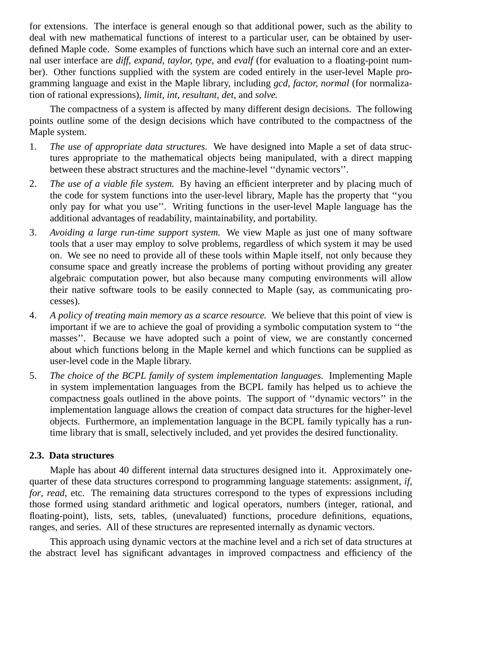for extensions. The interface is general enough so that additional power, such as the ability to deal with new mathematical functions of interest to a particular user, can be obtained by userdefined Maple code. Some examples of functions which have such an internal core and an external user interface are *diff, expand, taylor, type,* and *evalf* (for evaluation to a floating-point number). Other functions supplied with the system are coded entirely in the user-level Maple programming language and exist in the Maple library, including *gcd, factor, normal* (for normalization of rational expressions), *limit, int, resultant, det,* and *solve.*

The compactness of a system is affected by many different design decisions. The following points outline some of the design decisions which have contributed to the compactness of the Maple system.

- 1. *The use of appropriate data structures.* We have designed into Maple a set of data structures appropriate to the mathematical objects being manipulated, with a direct mapping between these abstract structures and the machine-level ''dynamic vectors''.
- 2. *The use of a viable file system.* By having an efficient interpreter and by placing much of the code for system functions into the user-level library, Maple has the property that ''you only pay for what you use''. Writing functions in the user-level Maple language has the additional advantages of readability, maintainability, and portability.
- 3. *Avoiding a large run-time support system.* We view Maple as just one of many software tools that a user may employ to solve problems, regardless of which system it may be used on. We see no need to provide all of these tools within Maple itself, not only because they consume space and greatly increase the problems of porting without providing any greater algebraic computation power, but also because many computing environments will allow their native software tools to be easily connected to Maple (say, as communicating processes).
- 4. *A policy of treating main memory as a scarce resource.* We believe that this point of view is important if we are to achieve the goal of providing a symbolic computation system to ''the masses''. Because we have adopted such a point of view, we are constantly concerned about which functions belong in the Maple kernel and which functions can be supplied as user-level code in the Maple library.
- 5. *The choice of the BCPL family of system implementation languages.* Implementing Maple in system implementation languages from the BCPL family has helped us to achieve the compactness goals outlined in the above points. The support of ''dynamic vectors'' in the implementation language allows the creation of compact data structures for the higher-level objects. Furthermore, an implementation language in the BCPL family typically has a runtime library that is small, selectively included, and yet provides the desired functionality.

# **2.3. Data structures**

Maple has about 40 different internal data structures designed into it. Approximately onequarter of these data structures correspond to programming language statements: assignment, *if*, *for*, *read*, etc. The remaining data structures correspond to the types of expressions including those formed using standard arithmetic and logical operators, numbers (integer, rational, and floating-point), lists, sets, tables, (unevaluated) functions, procedure definitions, equations, ranges, and series. All of these structures are represented internally as dynamic vectors.

This approach using dynamic vectors at the machine level and a rich set of data structures at the abstract level has significant advantages in improved compactness and efficiency of the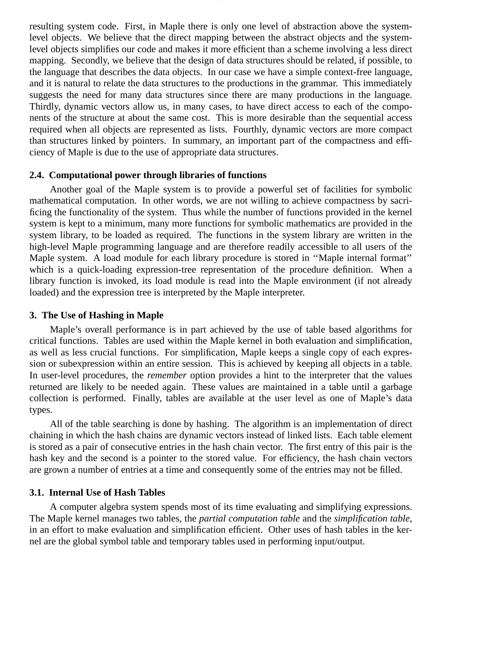resulting system code. First, in Maple there is only one level of abstraction above the systemlevel objects. We believe that the direct mapping between the abstract objects and the systemlevel objects simplifies our code and makes it more efficient than a scheme involving a less direct mapping. Secondly, we believe that the design of data structures should be related, if possible, to the language that describes the data objects. In our case we have a simple context-free language, and it is natural to relate the data structures to the productions in the grammar. This immediately suggests the need for many data structures since there are many productions in the language. Thirdly, dynamic vectors allow us, in many cases, to have direct access to each of the components of the structure at about the same cost. This is more desirable than the sequential access required when all objects are represented as lists. Fourthly, dynamic vectors are more compact than structures linked by pointers. In summary, an important part of the compactness and efficiency of Maple is due to the use of appropriate data structures.

-5-

## **2.4. Computational power through libraries of functions**

Another goal of the Maple system is to provide a powerful set of facilities for symbolic mathematical computation. In other words, we are not willing to achieve compactness by sacrificing the functionality of the system. Thus while the number of functions provided in the kernel system is kept to a minimum, many more functions for symbolic mathematics are provided in the system library, to be loaded as required. The functions in the system library are written in the high-level Maple programming language and are therefore readily accessible to all users of the Maple system. A load module for each library procedure is stored in ''Maple internal format'' which is a quick-loading expression-tree representation of the procedure definition. When a library function is invoked, its load module is read into the Maple environment (if not already loaded) and the expression tree is interpreted by the Maple interpreter.

#### **3. The Use of Hashing in Maple**

Maple's overall performance is in part achieved by the use of table based algorithms for critical functions. Tables are used within the Maple kernel in both evaluation and simplification, as well as less crucial functions. For simplification, Maple keeps a single copy of each expression or subexpression within an entire session. This is achieved by keeping all objects in a table. In user-level procedures, the *remember* option provides a hint to the interpreter that the values returned are likely to be needed again. These values are maintained in a table until a garbage collection is performed. Finally, tables are available at the user level as one of Maple's data types.

All of the table searching is done by hashing. The algorithm is an implementation of direct chaining in which the hash chains are dynamic vectors instead of linked lists. Each table element is stored as a pair of consecutive entries in the hash chain vector. The first entry of this pair is the hash key and the second is a pointer to the stored value. For efficiency, the hash chain vectors are grown a number of entries at a time and consequently some of the entries may not be filled.

#### **3.1. Internal Use of Hash Tables**

A computer algebra system spends most of its time evaluating and simplifying expressions. The Maple kernel manages two tables, the *partial computation table* and the *simplification table*, in an effort to make evaluation and simplification efficient. Other uses of hash tables in the kernel are the global symbol table and temporary tables used in performing input/output.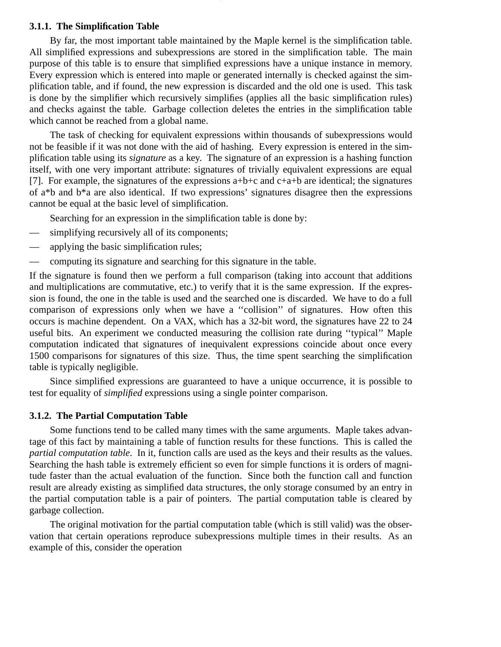#### **3.1.1. The Simplification Table**

By far, the most important table maintained by the Maple kernel is the simplification table. All simplified expressions and subexpressions are stored in the simplification table. The main purpose of this table is to ensure that simplified expressions have a unique instance in memory. Every expression which is entered into maple or generated internally is checked against the simplification table, and if found, the new expression is discarded and the old one is used. This task is done by the simplifier which recursively simplifies (applies all the basic simplification rules) and checks against the table. Garbage collection deletes the entries in the simplification table which cannot be reached from a global name.

-6-

The task of checking for equivalent expressions within thousands of subexpressions would not be feasible if it was not done with the aid of hashing. Every expression is entered in the simplification table using its *signature* as a key. The signature of an expression is a hashing function itself, with one very important attribute: signatures of trivially equivalent expressions are equal [7]. For example, the signatures of the expressions  $a+b+c$  and  $c+a+b$  are identical; the signatures of a\*b and b\*a are also identical. If two expressions' signatures disagree then the expressions cannot be equal at the basic level of simplification.

Searching for an expression in the simplification table is done by:

- simplifying recursively all of its components;
- applying the basic simplification rules;
- computing its signature and searching for this signature in the table.

If the signature is found then we perform a full comparison (taking into account that additions and multiplications are commutative, etc.) to verify that it is the same expression. If the expression is found, the one in the table is used and the searched one is discarded. We have to do a full comparison of expressions only when we have a ''collision'' of signatures. How often this occurs is machine dependent. On a VAX, which has a 32-bit word, the signatures have 22 to 24 useful bits. An experiment we conducted measuring the collision rate during ''typical'' Maple computation indicated that signatures of inequivalent expressions coincide about once every 1500 comparisons for signatures of this size. Thus, the time spent searching the simplification table is typically negligible.

Since simplified expressions are guaranteed to have a unique occurrence, it is possible to test for equality of *simplified* expressions using a single pointer comparison.

## **3.1.2. The Partial Computation Table**

Some functions tend to be called many times with the same arguments. Maple takes advantage of this fact by maintaining a table of function results for these functions. This is called the *partial computation table*. In it, function calls are used as the keys and their results as the values. Searching the hash table is extremely efficient so even for simple functions it is orders of magnitude faster than the actual evaluation of the function. Since both the function call and function result are already existing as simplified data structures, the only storage consumed by an entry in the partial computation table is a pair of pointers. The partial computation table is cleared by garbage collection.

The original motivation for the partial computation table (which is still valid) was the observation that certain operations reproduce subexpressions multiple times in their results. As an example of this, consider the operation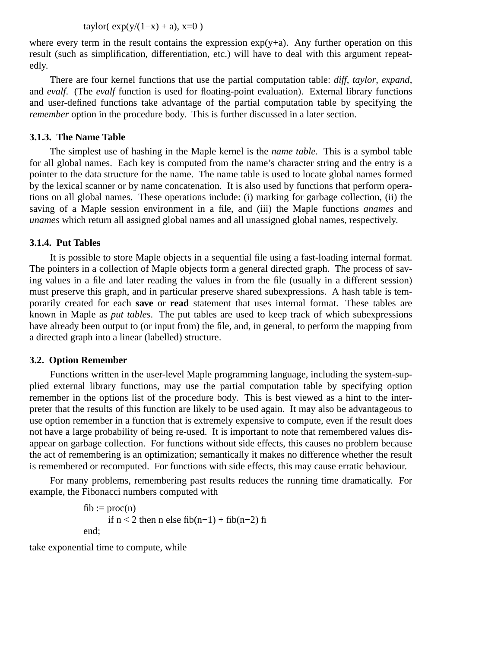taylor(  $exp(y/(1-x) + a)$ , x=0 )

where every term in the result contains the expression  $exp(y+a)$ . Any further operation on this result (such as simplification, differentiation, etc.) will have to deal with this argument repeatedly.

There are four kernel functions that use the partial computation table: *diff*, *taylor*, *expand*, and *evalf*. (The *evalf* function is used for floating-point evaluation). External library functions and user-defined functions take advantage of the partial computation table by specifying the *remember* option in the procedure body. This is further discussed in a later section.

## **3.1.3. The Name Table**

The simplest use of hashing in the Maple kernel is the *name table*. This is a symbol table for all global names. Each key is computed from the name's character string and the entry is a pointer to the data structure for the name. The name table is used to locate global names formed by the lexical scanner or by name concatenation. It is also used by functions that perform operations on all global names. These operations include: (i) marking for garbage collection, (ii) the saving of a Maple session environment in a file, and (iii) the Maple functions *anames* and *unames* which return all assigned global names and all unassigned global names, respectively.

## **3.1.4. Put Tables**

It is possible to store Maple objects in a sequential file using a fast-loading internal format. The pointers in a collection of Maple objects form a general directed graph. The process of saving values in a file and later reading the values in from the file (usually in a different session) must preserve this graph, and in particular preserve shared subexpressions. A hash table is temporarily created for each **save** or **read** statement that uses internal format. These tables are known in Maple as *put tables*. The put tables are used to keep track of which subexpressions have already been output to (or input from) the file, and, in general, to perform the mapping from a directed graph into a linear (labelled) structure.

### **3.2. Option Remember**

Functions written in the user-level Maple programming language, including the system-supplied external library functions, may use the partial computation table by specifying option remember in the options list of the procedure body. This is best viewed as a hint to the interpreter that the results of this function are likely to be used again. It may also be advantageous to use option remember in a function that is extremely expensive to compute, even if the result does not have a large probability of being re-used. It is important to note that remembered values disappear on garbage collection. For functions without side effects, this causes no problem because the act of remembering is an optimization; semantically it makes no difference whether the result is remembered or recomputed. For functions with side effects, this may cause erratic behaviour.

For many problems, remembering past results reduces the running time dramatically. For example, the Fibonacci numbers computed with

$$
fib := proc(n)
$$
  
if n < 2 then n else fib(n-1) + fib(n-2) fi  
end;

take exponential time to compute, while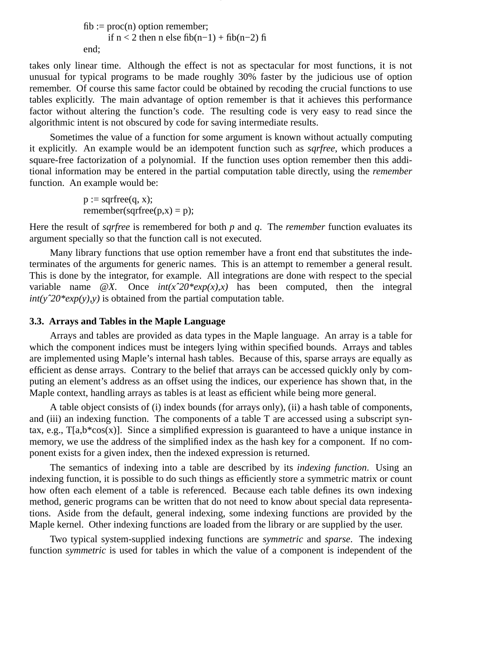$fib := proc(n)$  option remember; if n < 2 then n else fib(n−1) + fib(n−2) fi end;

takes only linear time. Although the effect is not as spectacular for most functions, it is not unusual for typical programs to be made roughly 30% faster by the judicious use of option remember. Of course this same factor could be obtained by recoding the crucial functions to use tables explicitly. The main advantage of option remember is that it achieves this performance factor without altering the function's code. The resulting code is very easy to read since the algorithmic intent is not obscured by code for saving intermediate results.

-8-

Sometimes the value of a function for some argument is known without actually computing it explicitly. An example would be an idempotent function such as *sqrfree*, which produces a square-free factorization of a polynomial. If the function uses option remember then this additional information may be entered in the partial computation table directly, using the *remember* function. An example would be:

> $p :=$  sqrfree(q, x); remember(sqrfree(p,x) = p);

Here the result of *sqrfree* is remembered for both *p* and *q*. The *remember* function evaluates its argument specially so that the function call is not executed.

Many library functions that use option remember have a front end that substitutes the indeterminates of the arguments for generic names. This is an attempt to remember a general result. This is done by the integrator, for example. All integrations are done with respect to the special variable name  $\mathcal{Q}X$ . Once  $int(x^2 20^* exp(x),x)$  has been computed, then the integral  $int(y^2 20*exp(y),y)$  is obtained from the partial computation table.

#### **3.3. Arrays and Tables in the Maple Language**

Arrays and tables are provided as data types in the Maple language. An array is a table for which the component indices must be integers lying within specified bounds. Arrays and tables are implemented using Maple's internal hash tables. Because of this, sparse arrays are equally as efficient as dense arrays. Contrary to the belief that arrays can be accessed quickly only by computing an element's address as an offset using the indices, our experience has shown that, in the Maple context, handling arrays as tables is at least as efficient while being more general.

A table object consists of (i) index bounds (for arrays only), (ii) a hash table of components, and (iii) an indexing function. The components of a table T are accessed using a subscript syntax, e.g., T[a,b\*cos(x)]. Since a simplified expression is guaranteed to have a unique instance in memory, we use the address of the simplified index as the hash key for a component. If no component exists for a given index, then the indexed expression is returned.

The semantics of indexing into a table are described by its *indexing function*. Using an indexing function, it is possible to do such things as efficiently store a symmetric matrix or count how often each element of a table is referenced. Because each table defines its own indexing method, generic programs can be written that do not need to know about special data representations. Aside from the default, general indexing, some indexing functions are provided by the Maple kernel. Other indexing functions are loaded from the library or are supplied by the user.

Two typical system-supplied indexing functions are *symmetric* and *sparse*. The indexing function *symmetric* is used for tables in which the value of a component is independent of the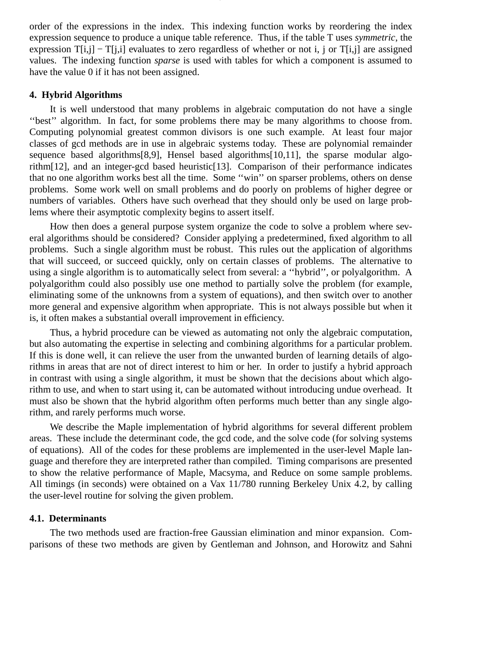order of the expressions in the index. This indexing function works by reordering the index expression sequence to produce a unique table reference. Thus, if the table T uses *symmetric*, the expression  $T[i,j] - T[i,j]$  evaluates to zero regardless of whether or not i, j or  $T[i,j]$  are assigned values. The indexing function *sparse* is used with tables for which a component is assumed to have the value 0 if it has not been assigned.

-9-

#### **4. Hybrid Algorithms**

It is well understood that many problems in algebraic computation do not have a single "best" algorithm. In fact, for some problems there may be many algorithms to choose from. Computing polynomial greatest common divisors is one such example. At least four major classes of gcd methods are in use in algebraic systems today. These are polynomial remainder sequence based algorithms[8,9], Hensel based algorithms[10,11], the sparse modular algorithm[12], and an integer-gcd based heuristic[13]. Comparison of their performance indicates that no one algorithm works best all the time. Some ''win'' on sparser problems, others on dense problems. Some work well on small problems and do poorly on problems of higher degree or numbers of variables. Others have such overhead that they should only be used on large problems where their asymptotic complexity begins to assert itself.

How then does a general purpose system organize the code to solve a problem where several algorithms should be considered? Consider applying a predetermined, fixed algorithm to all problems. Such a single algorithm must be robust. This rules out the application of algorithms that will succeed, or succeed quickly, only on certain classes of problems. The alternative to using a single algorithm is to automatically select from several: a ''hybrid'', or polyalgorithm. A polyalgorithm could also possibly use one method to partially solve the problem (for example, eliminating some of the unknowns from a system of equations), and then switch over to another more general and expensive algorithm when appropriate. This is not always possible but when it is, it often makes a substantial overall improvement in efficiency.

Thus, a hybrid procedure can be viewed as automating not only the algebraic computation, but also automating the expertise in selecting and combining algorithms for a particular problem. If this is done well, it can relieve the user from the unwanted burden of learning details of algorithms in areas that are not of direct interest to him or her. In order to justify a hybrid approach in contrast with using a single algorithm, it must be shown that the decisions about which algorithm to use, and when to start using it, can be automated without introducing undue overhead. It must also be shown that the hybrid algorithm often performs much better than any single algorithm, and rarely performs much worse.

We describe the Maple implementation of hybrid algorithms for several different problem areas. These include the determinant code, the gcd code, and the solve code (for solving systems of equations). All of the codes for these problems are implemented in the user-level Maple language and therefore they are interpreted rather than compiled. Timing comparisons are presented to show the relative performance of Maple, Macsyma, and Reduce on some sample problems. All timings (in seconds) were obtained on a Vax 11/780 running Berkeley Unix 4.2, by calling the user-level routine for solving the given problem.

#### **4.1. Determinants**

The two methods used are fraction-free Gaussian elimination and minor expansion. Comparisons of these two methods are given by Gentleman and Johnson, and Horowitz and Sahni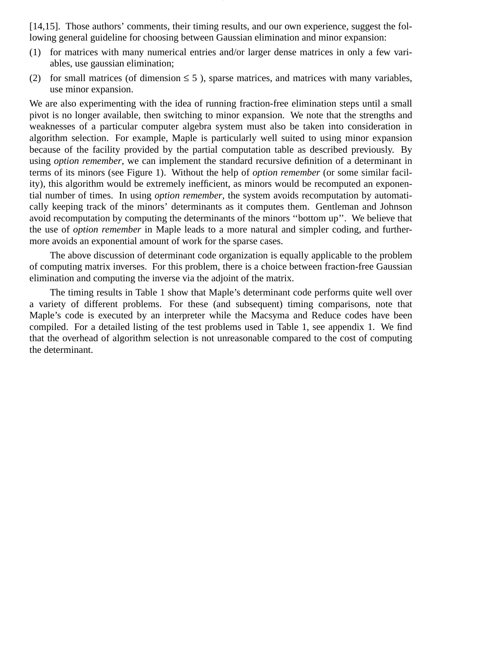[14,15]. Those authors' comments, their timing results, and our own experience, suggest the following general guideline for choosing between Gaussian elimination and minor expansion:

- (1) for matrices with many numerical entries and/or larger dense matrices in only a few variables, use gaussian elimination;
- (2) for small matrices (of dimension  $\leq 5$ ), sparse matrices, and matrices with many variables, use minor expansion.

We are also experimenting with the idea of running fraction-free elimination steps until a small pivot is no longer available, then switching to minor expansion. We note that the strengths and weaknesses of a particular computer algebra system must also be taken into consideration in algorithm selection. For example, Maple is particularly well suited to using minor expansion because of the facility provided by the partial computation table as described previously. By using *option remember*, we can implement the standard recursive definition of a determinant in terms of its minors (see Figure 1). Without the help of *option remember* (or some similar facility), this algorithm would be extremely inefficient, as minors would be recomputed an exponential number of times. In using *option remember*, the system avoids recomputation by automatically keeping track of the minors' determinants as it computes them. Gentleman and Johnson avoid recomputation by computing the determinants of the minors ''bottom up''. We believe that the use of *option remember* in Maple leads to a more natural and simpler coding, and furthermore avoids an exponential amount of work for the sparse cases.

The above discussion of determinant code organization is equally applicable to the problem of computing matrix inverses. For this problem, there is a choice between fraction-free Gaussian elimination and computing the inverse via the adjoint of the matrix.

The timing results in Table 1 show that Maple's determinant code performs quite well over a variety of different problems. For these (and subsequent) timing comparisons, note that Maple's code is executed by an interpreter while the Macsyma and Reduce codes have been compiled. For a detailed listing of the test problems used in Table 1, see appendix 1. We find that the overhead of algorithm selection is not unreasonable compared to the cost of computing the determinant.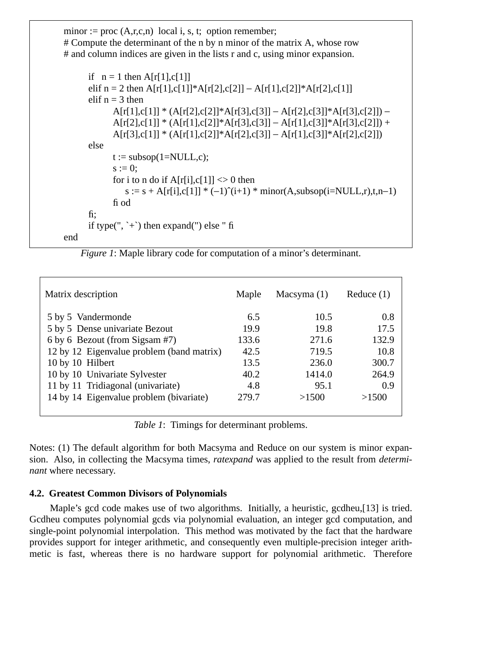```
minor := proc (A, r, c, n) local i, s, t; option remember;
# Compute the determinant of the n by n minor of the matrix A, whose row
# and column indices are given in the lists r and c, using minor expansion.
      if n = 1 then A[r[1], c[1]]elif n = 2 then A[r[1],c[1]]^*A[r[2],c[2]] - A[r[1],c[2]]^*A[r[2],c[1]]elif n = 3 then
            A[r[1],c[1]] * (A[r[2],c[2]]*A[r[3],c[3]] − A[r[2],c[3]]*A[r[3],c[2]]) −
            A[r[2],c[1]] * (A[r[1],c[2]] * A[r[3],c[3]] - A[r[1],c[3]] * A[r[3],c[2]]) +A[r[3],c[1]] * (A[r[1],c[2]]*A[r[2],c[3]] − A[r[1],c[3]]*A[r[2],c[2]])
      else
            t :=subsop(1 = NULL,c);s := 0:
            for i to n do if A[r[i],c[1]] \leq 0 then
               s := s + A[r[i],c[1]] * (-1)^(i+1) * minor(A,subsop(i=NULL,r),t,n-1)
            fi od
      fi;
      if type(", `+`) then expand(") else " fi
end
```

|  |  |  | <i>Figure 1</i> : Maple library code for computation of a minor's determinant. |
|--|--|--|--------------------------------------------------------------------------------|
|  |  |  |                                                                                |

| Matrix description                        | Maple | Macsyma $(1)$ | Reduce $(1)$ |
|-------------------------------------------|-------|---------------|--------------|
| 5 by 5 Vandermonde                        | 6.5   | 10.5          | 0.8          |
| 5 by 5 Dense univariate Bezout            | 19.9  | 19.8          | 17.5         |
| 6 by 6 Bezout (from Sigsam #7)            | 133.6 | 271.6         | 132.9        |
| 12 by 12 Eigenvalue problem (band matrix) | 42.5  | 719.5         | 10.8         |
| 10 by 10 Hilbert                          | 13.5  | 236.0         | 300.7        |
| 10 by 10 Univariate Sylvester             | 40.2  | 1414.0        | 264.9        |
| 11 by 11 Tridiagonal (univariate)         | 4.8   | 95.1          | 0.9          |
| 14 by 14 Eigenvalue problem (bivariate)   | 279.7 | >1500         | >1500        |
|                                           |       |               |              |

*Table 1*: Timings for determinant problems.

Notes: (1) The default algorithm for both Macsyma and Reduce on our system is minor expansion. Also, in collecting the Macsyma times, *ratexpand* was applied to the result from *determinant* where necessary.

## **4.2. Greatest Common Divisors of Polynomials**

Maple's gcd code makes use of two algorithms. Initially, a heuristic, gcdheu,[13] is tried. Gcdheu computes polynomial gcds via polynomial evaluation, an integer gcd computation, and single-point polynomial interpolation. This method was motivated by the fact that the hardware provides support for integer arithmetic, and consequently even multiple-precision integer arithmetic is fast, whereas there is no hardware support for polynomial arithmetic. Therefore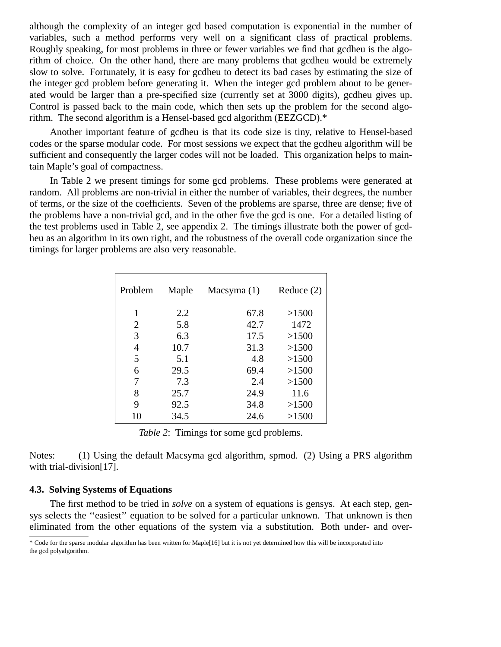although the complexity of an integer gcd based computation is exponential in the number of variables, such a method performs very well on a significant class of practical problems. Roughly speaking, for most problems in three or fewer variables we find that gcdheu is the algorithm of choice. On the other hand, there are many problems that gcdheu would be extremely slow to solve. Fortunately, it is easy for gcdheu to detect its bad cases by estimating the size of the integer gcd problem before generating it. When the integer gcd problem about to be generated would be larger than a pre-specified size (currently set at 3000 digits), gcdheu gives up. Control is passed back to the main code, which then sets up the problem for the second algorithm. The second algorithm is a Hensel-based gcd algorithm (EEZGCD).\*

Another important feature of gcdheu is that its code size is tiny, relative to Hensel-based codes or the sparse modular code. For most sessions we expect that the gcdheu algorithm will be sufficient and consequently the larger codes will not be loaded. This organization helps to maintain Maple's goal of compactness.

In Table 2 we present timings for some gcd problems. These problems were generated at random. All problems are non-trivial in either the number of variables, their degrees, the number of terms, or the size of the coefficients. Seven of the problems are sparse, three are dense; five of the problems have a non-trivial gcd, and in the other five the gcd is one. For a detailed listing of the test problems used in Table 2, see appendix 2. The timings illustrate both the power of gcdheu as an algorithm in its own right, and the robustness of the overall code organization since the timings for larger problems are also very reasonable.

| Problem | Maple | Macsyma $(1)$ | Reduce $(2)$ |
|---------|-------|---------------|--------------|
| 1       | 2.2   | 67.8          | >1500        |
| 2       | 5.8   | 42.7          | 1472         |
| 3       | 6.3   | 17.5          | >1500        |
| 4       | 10.7  | 31.3          | >1500        |
| 5       | 5.1   | 4.8           | >1500        |
| 6       | 29.5  | 69.4          | >1500        |
| 7       | 7.3   | 2.4           | >1500        |
| 8       | 25.7  | 24.9          | 11.6         |
| 9       | 92.5  | 34.8          | >1500        |
| 10      | 34.5  | 24.6          | >1500        |

*Table 2*: Timings for some gcd problems.

Notes: (1) Using the default Macsyma gcd algorithm, spmod. (2) Using a PRS algorithm with trial-division[17].

#### **4.3. Solving Systems of Equations**

The first method to be tried in *solve* on a system of equations is gensys. At each step, gensys selects the ''easiest'' equation to be solved for a particular unknown. That unknown is then eliminated from the other equations of the system via a substitution. Both under- and over-

<sup>\*</sup> Code for the sparse modular algorithm has been written for Maple[16] but it is not yet determined how this will be incorporated into the gcd polyalgorithm.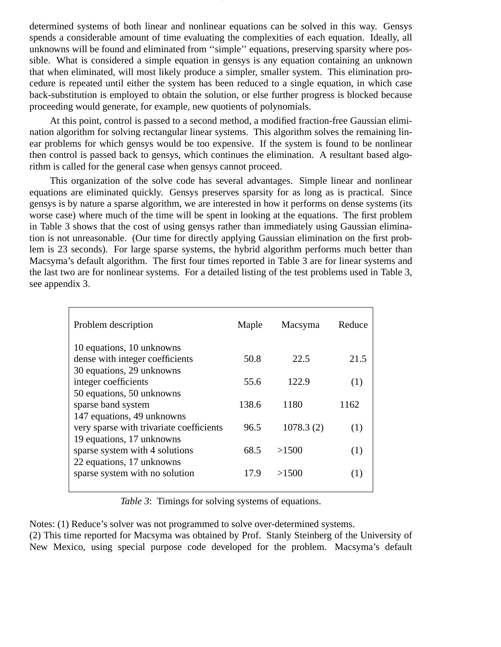determined systems of both linear and nonlinear equations can be solved in this way. Gensys spends a considerable amount of time evaluating the complexities of each equation. Ideally, all unknowns will be found and eliminated from ''simple'' equations, preserving sparsity where possible. What is considered a simple equation in gensys is any equation containing an unknown that when eliminated, will most likely produce a simpler, smaller system. This elimination procedure is repeated until either the system has been reduced to a single equation, in which case back-substitution is employed to obtain the solution, or else further progress is blocked because proceeding would generate, for example, new quotients of polynomials.

-13-

At this point, control is passed to a second method, a modified fraction-free Gaussian elimination algorithm for solving rectangular linear systems. This algorithm solves the remaining linear problems for which gensys would be too expensive. If the system is found to be nonlinear then control is passed back to gensys, which continues the elimination. A resultant based algorithm is called for the general case when gensys cannot proceed.

This organization of the solve code has several advantages. Simple linear and nonlinear equations are eliminated quickly. Gensys preserves sparsity for as long as is practical. Since gensys is by nature a sparse algorithm, we are interested in how it performs on dense systems (its worse case) where much of the time will be spent in looking at the equations. The first problem in Table 3 shows that the cost of using gensys rather than immediately using Gaussian elimination is not unreasonable. (Our time for directly applying Gaussian elimination on the first problem is 23 seconds). For large sparse systems, the hybrid algorithm performs much better than Macsyma's default algorithm. The first four times reported in Table 3 are for linear systems and the last two are for nonlinear systems. For a detailed listing of the test problems used in Table 3, see appendix 3.

| Problem description                      | Maple | Macsyma   | Reduce |
|------------------------------------------|-------|-----------|--------|
| 10 equations, 10 unknowns                |       |           |        |
| dense with integer coefficients          | 50.8  | 22.5      | 21.5   |
| 30 equations, 29 unknowns                |       |           |        |
| integer coefficients                     | 55.6  | 122.9     | (1)    |
| 50 equations, 50 unknowns                |       |           |        |
| sparse band system                       | 138.6 | 1180      | 1162   |
| 147 equations, 49 unknowns               |       |           |        |
| very sparse with trivariate coefficients | 96.5  | 1078.3(2) | (1)    |
| 19 equations, 17 unknowns                |       |           |        |
| sparse system with 4 solutions           | 68.5  | >1500     | (1)    |
| 22 equations, 17 unknowns                |       |           |        |
| sparse system with no solution           | 17.9  | >1500     | (1)    |
|                                          |       |           |        |

*Table 3*: Timings for solving systems of equations.

Notes: (1) Reduce's solver was not programmed to solve over-determined systems. (2) This time reported for Macsyma was obtained by Prof. Stanly Steinberg of the University of New Mexico, using special purpose code developed for the problem. Macsyma's default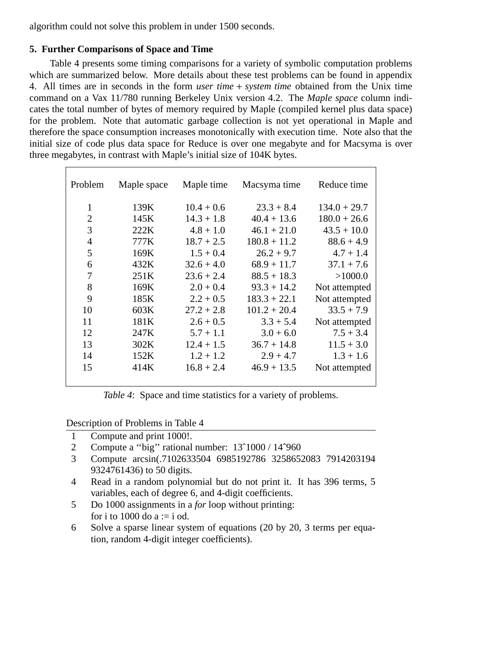algorithm could not solve this problem in under 1500 seconds.

# **5. Further Comparisons of Space and Time**

Table 4 presents some timing comparisons for a variety of symbolic computation problems which are summarized below. More details about these test problems can be found in appendix 4. All times are in seconds in the form *user time* + *system time* obtained from the Unix time command on a Vax 11/780 running Berkeley Unix version 4.2. The *Maple space* column indicates the total number of bytes of memory required by Maple (compiled kernel plus data space) for the problem. Note that automatic garbage collection is not yet operational in Maple and therefore the space consumption increases monotonically with execution time. Note also that the initial size of code plus data space for Reduce is over one megabyte and for Macsyma is over three megabytes, in contrast with Maple's initial size of 104K bytes.

| Problem        | Maple space | Maple time   | Macsyma time   | Reduce time    |
|----------------|-------------|--------------|----------------|----------------|
| $\mathbf{1}$   | 139K        | $10.4 + 0.6$ | $23.3 + 8.4$   | $134.0 + 29.7$ |
| $\overline{2}$ | 145K        | $14.3 + 1.8$ | $40.4 + 13.6$  | $180.0 + 26.6$ |
| 3              | 222K        | $4.8 + 1.0$  | $46.1 + 21.0$  | $43.5 + 10.0$  |
| $\overline{4}$ | 777K        | $18.7 + 2.5$ | $180.8 + 11.2$ | $88.6 + 4.9$   |
| 5              | 169K        | $1.5 + 0.4$  | $26.2 + 9.7$   | $4.7 + 1.4$    |
| 6              | 432K        | $32.6 + 4.0$ | $68.9 + 11.7$  | $37.1 + 7.6$   |
| 7              | 251K        | $23.6 + 2.4$ | $88.5 + 18.3$  | >1000.0        |
| 8              | 169K        | $2.0 + 0.4$  | $93.3 + 14.2$  | Not attempted  |
| 9              | 185K        | $2.2 + 0.5$  | $183.3 + 22.1$ | Not attempted  |
| 10             | 603K        | $27.2 + 2.8$ | $101.2 + 20.4$ | $33.5 + 7.9$   |
| 11             | 181K        | $2.6 + 0.5$  | $3.3 + 5.4$    | Not attempted  |
| 12             | 247K        | $5.7 + 1.1$  | $3.0 + 6.0$    | $7.5 + 3.4$    |
| 13             | 302K        | $12.4 + 1.5$ | $36.7 + 14.8$  | $11.5 + 3.0$   |
| 14             | 152K        | $1.2 + 1.2$  | $2.9 + 4.7$    | $1.3 + 1.6$    |
| 15             | 414K        | $16.8 + 2.4$ | $46.9 + 13.5$  | Not attempted  |

*Table 4*: Space and time statistics for a variety of problems.

Description of Problems in Table 4

- 1 Compute and print 1000!.
- 2 Compute a ''big'' rational number: 13ˆ1000 / 14ˆ960
- 3 Compute arcsin(.7102633504 6985192786 3258652083 7914203194 9324761436) to 50 digits.
- 4 Read in a random polynomial but do not print it. It has 396 terms, 5 variables, each of degree 6, and 4-digit coefficients.
- 5 Do 1000 assignments in a *for* loop without printing: for i to 1000 do a := i od.
- 6 Solve a sparse linear system of equations (20 by 20, 3 terms per equation, random 4-digit integer coefficients).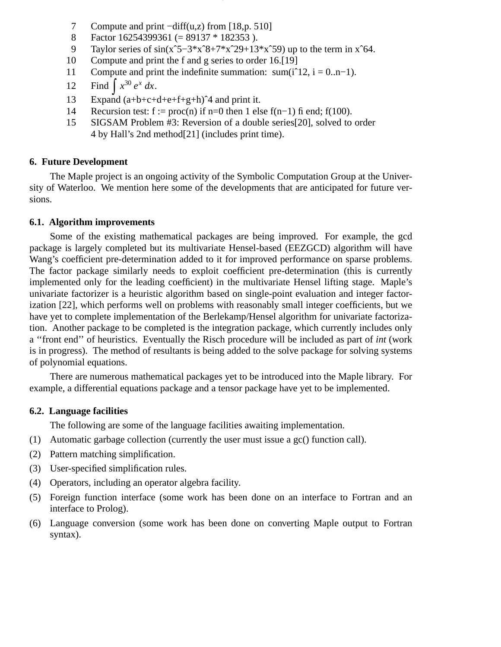- 7 Compute and print −diff(u,z) from [18,p. 510]
- 8 Factor 16254399361 (= 89137 \* 182353 ).
- 9 Taylor series of sin(x<sup>2</sup>5−3\*x<sup>2</sup>8+7\*x<sup>2</sup>29+13\*x<sup>2</sup>59) up to the term in x<sup>2</sup>64.

-15-

- 10 Compute and print the f and g series to order 16.[19]
- 11 Compute and print the indefinite summation: sum( $i$ ^12,  $i = 0..n-1$ ).
- 12 Find  $\int x^{30} e^x dx$ .<br>13 Expand (a+b+c+
- Expand  $(a+b+c+d+e+f+g+h)^4$  and print it.
- 14 Recursion test: f := proc(n) if n=0 then 1 else f(n-1) fi end; f(100).
- 15 SIGSAM Problem #3: Reversion of a double series[20], solved to order 4 by Hall's 2nd method[21] (includes print time).

## **6. Future Development**

The Maple project is an ongoing activity of the Symbolic Computation Group at the University of Waterloo. We mention here some of the developments that are anticipated for future versions.

## **6.1. Algorithm improvements**

Some of the existing mathematical packages are being improved. For example, the gcd package is largely completed but its multivariate Hensel-based (EEZGCD) algorithm will have Wang's coefficient pre-determination added to it for improved performance on sparse problems. The factor package similarly needs to exploit coefficient pre-determination (this is currently implemented only for the leading coefficient) in the multivariate Hensel lifting stage. Maple's univariate factorizer is a heuristic algorithm based on single-point evaluation and integer factorization [22], which performs well on problems with reasonably small integer coefficients, but we have yet to complete implementation of the Berlekamp/Hensel algorithm for univariate factorization. Another package to be completed is the integration package, which currently includes only a ''front end'' of heuristics. Eventually the Risch procedure will be included as part of *int* (work is in progress). The method of resultants is being added to the solve package for solving systems of polynomial equations.

There are numerous mathematical packages yet to be introduced into the Maple library. For example, a differential equations package and a tensor package have yet to be implemented.

# **6.2. Language facilities**

The following are some of the language facilities awaiting implementation.

- (1) Automatic garbage collection (currently the user must issue a gc() function call).
- (2) Pattern matching simplification.
- (3) User-specified simplification rules.
- (4) Operators, including an operator algebra facility.
- (5) Foreign function interface (some work has been done on an interface to Fortran and an interface to Prolog).
- (6) Language conversion (some work has been done on converting Maple output to Fortran syntax).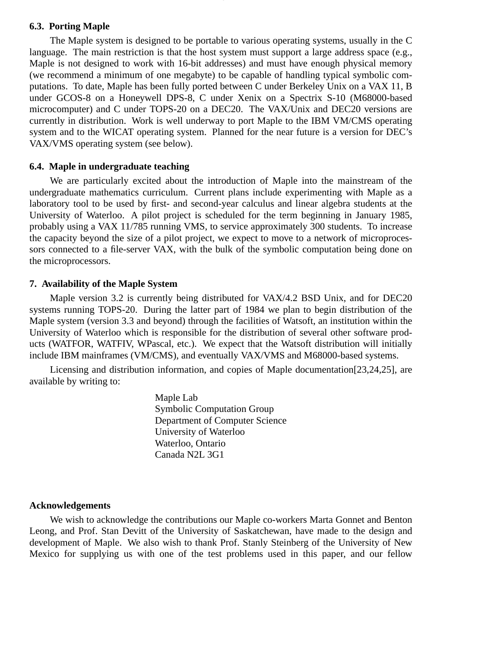#### **6.3. Porting Maple**

The Maple system is designed to be portable to various operating systems, usually in the C language. The main restriction is that the host system must support a large address space (e.g., Maple is not designed to work with 16-bit addresses) and must have enough physical memory (we recommend a minimum of one megabyte) to be capable of handling typical symbolic computations. To date, Maple has been fully ported between C under Berkeley Unix on a VAX 11, B under GCOS-8 on a Honeywell DPS-8, C under Xenix on a Spectrix S-10 (M68000-based microcomputer) and C under TOPS-20 on a DEC20. The VAX/Unix and DEC20 versions are currently in distribution. Work is well underway to port Maple to the IBM VM/CMS operating system and to the WICAT operating system. Planned for the near future is a version for DEC's VAX/VMS operating system (see below).

-16-

## **6.4. Maple in undergraduate teaching**

We are particularly excited about the introduction of Maple into the mainstream of the undergraduate mathematics curriculum. Current plans include experimenting with Maple as a laboratory tool to be used by first- and second-year calculus and linear algebra students at the University of Waterloo. A pilot project is scheduled for the term beginning in January 1985, probably using a VAX 11/785 running VMS, to service approximately 300 students. To increase the capacity beyond the size of a pilot project, we expect to move to a network of microprocessors connected to a file-server VAX, with the bulk of the symbolic computation being done on the microprocessors.

## **7. Availability of the Maple System**

Maple version 3.2 is currently being distributed for VAX/4.2 BSD Unix, and for DEC20 systems running TOPS-20. During the latter part of 1984 we plan to begin distribution of the Maple system (version 3.3 and beyond) through the facilities of Watsoft, an institution within the University of Waterloo which is responsible for the distribution of several other software products (WATFOR, WATFIV, WPascal, etc.). We expect that the Watsoft distribution will initially include IBM mainframes (VM/CMS), and eventually VAX/VMS and M68000-based systems.

Licensing and distribution information, and copies of Maple documentation[23,24,25], are available by writing to:

> Maple Lab Symbolic Computation Group Department of Computer Science University of Waterloo Waterloo, Ontario Canada N2L 3G1

## **Acknowledgements**

We wish to acknowledge the contributions our Maple co-workers Marta Gonnet and Benton Leong, and Prof. Stan Devitt of the University of Saskatchewan, have made to the design and development of Maple. We also wish to thank Prof. Stanly Steinberg of the University of New Mexico for supplying us with one of the test problems used in this paper, and our fellow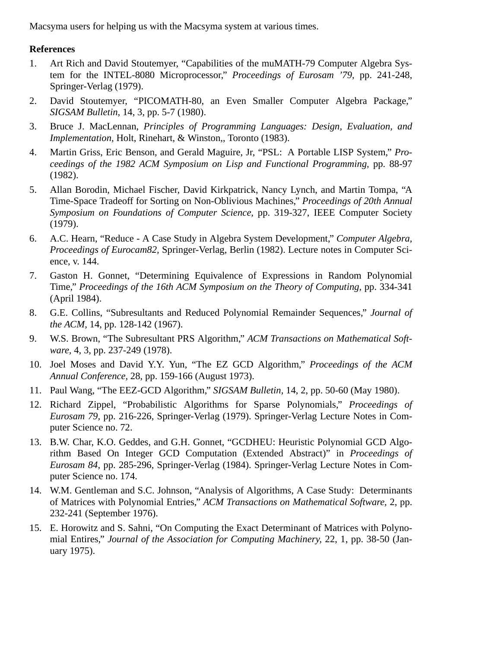Macsyma users for helping us with the Macsyma system at various times.

# **References**

- 1. Art Rich and David Stoutemyer, "Capabilities of the muMATH-79 Computer Algebra System for the INTEL-8080 Microprocessor," *Proceedings of Eurosam '79,* pp. 241-248, Springer-Verlag (1979).
- 2. David Stoutemyer, "PICOMATH-80, an Even Smaller Computer Algebra Package," *SIGSAM Bulletin,* 14, 3, pp. 5-7 (1980).
- 3. Bruce J. MacLennan, *Principles of Programming Languages: Design, Evaluation, and Implementation,* Holt, Rinehart, & Winston,, Toronto (1983).
- 4. Martin Griss, Eric Benson, and Gerald Maguire, Jr, "PSL: A Portable LISP System," *Proceedings of the 1982 ACM Symposium on Lisp and Functional Programming,* pp. 88-97 (1982).
- 5. Allan Borodin, Michael Fischer, David Kirkpatrick, Nancy Lynch, and Martin Tompa, "A Time-Space Tradeoff for Sorting on Non-Oblivious Machines," *Proceedings of 20th Annual Symposium on Foundations of Computer Science,* pp. 319-327, IEEE Computer Society (1979).
- 6. A.C. Hearn, "Reduce A Case Study in Algebra System Development," *Computer Algebra, Proceedings of Eurocam82,* Springer-Verlag, Berlin (1982). Lecture notes in Computer Science, v. 144.
- 7. Gaston H. Gonnet, "Determining Equivalence of Expressions in Random Polynomial Time," *Proceedings of the 16th ACM Symposium on the Theory of Computing,* pp. 334-341 (April 1984).
- 8. G.E. Collins, "Subresultants and Reduced Polynomial Remainder Sequences," *Journal of the ACM,* 14, pp. 128-142 (1967).
- 9. W.S. Brown, "The Subresultant PRS Algorithm," *ACM Transactions on Mathematical Software,* 4, 3, pp. 237-249 (1978).
- 10. Joel Moses and David Y.Y. Yun, "The EZ GCD Algorithm," *Proceedings of the ACM Annual Conference,* 28, pp. 159-166 (August 1973).
- 11. Paul Wang, "The EEZ-GCD Algorithm," *SIGSAM Bulletin,* 14, 2, pp. 50-60 (May 1980).
- 12. Richard Zippel, "Probabilistic Algorithms for Sparse Polynomials," *Proceedings of Eurosam 79,* pp. 216-226, Springer-Verlag (1979). Springer-Verlag Lecture Notes in Computer Science no. 72.
- 13. B.W. Char, K.O. Geddes, and G.H. Gonnet, "GCDHEU: Heuristic Polynomial GCD Algorithm Based On Integer GCD Computation (Extended Abstract)" in *Proceedings of Eurosam 84,* pp. 285-296, Springer-Verlag (1984). Springer-Verlag Lecture Notes in Computer Science no. 174.
- 14. W.M. Gentleman and S.C. Johnson, "Analysis of Algorithms, A Case Study: Determinants of Matrices with Polynomial Entries," *ACM Transactions on Mathematical Software,* 2, pp. 232-241 (September 1976).
- 15. E. Horowitz and S. Sahni, "On Computing the Exact Determinant of Matrices with Polynomial Entires," *Journal of the Association for Computing Machinery,* 22, 1, pp. 38-50 (January 1975).